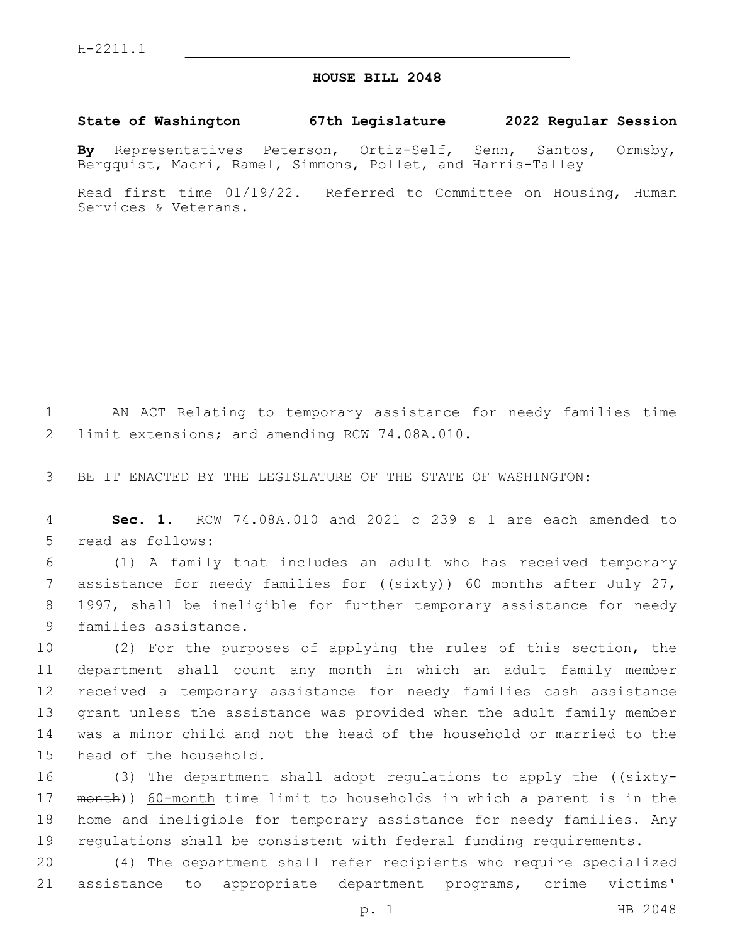## **HOUSE BILL 2048**

**State of Washington 67th Legislature 2022 Regular Session**

**By** Representatives Peterson, Ortiz-Self, Senn, Santos, Ormsby, Bergquist, Macri, Ramel, Simmons, Pollet, and Harris-Talley

Read first time 01/19/22. Referred to Committee on Housing, Human Services & Veterans.

1 AN ACT Relating to temporary assistance for needy families time 2 limit extensions; and amending RCW 74.08A.010.

3 BE IT ENACTED BY THE LEGISLATURE OF THE STATE OF WASHINGTON:

4 **Sec. 1.** RCW 74.08A.010 and 2021 c 239 s 1 are each amended to 5 read as follows:

6 (1) A family that includes an adult who has received temporary 7 assistance for needy families for  $((s+$ 8 1997, shall be ineligible for further temporary assistance for needy 9 families assistance.

 (2) For the purposes of applying the rules of this section, the department shall count any month in which an adult family member received a temporary assistance for needy families cash assistance grant unless the assistance was provided when the adult family member was a minor child and not the head of the household or married to the 15 head of the household.

16 (3) The department shall adopt regulations to apply the ((sixty-17 month)) 60-month time limit to households in which a parent is in the 18 home and ineligible for temporary assistance for needy families. Any 19 regulations shall be consistent with federal funding requirements.

20 (4) The department shall refer recipients who require specialized 21 assistance to appropriate department programs, crime victims'

p. 1 HB 2048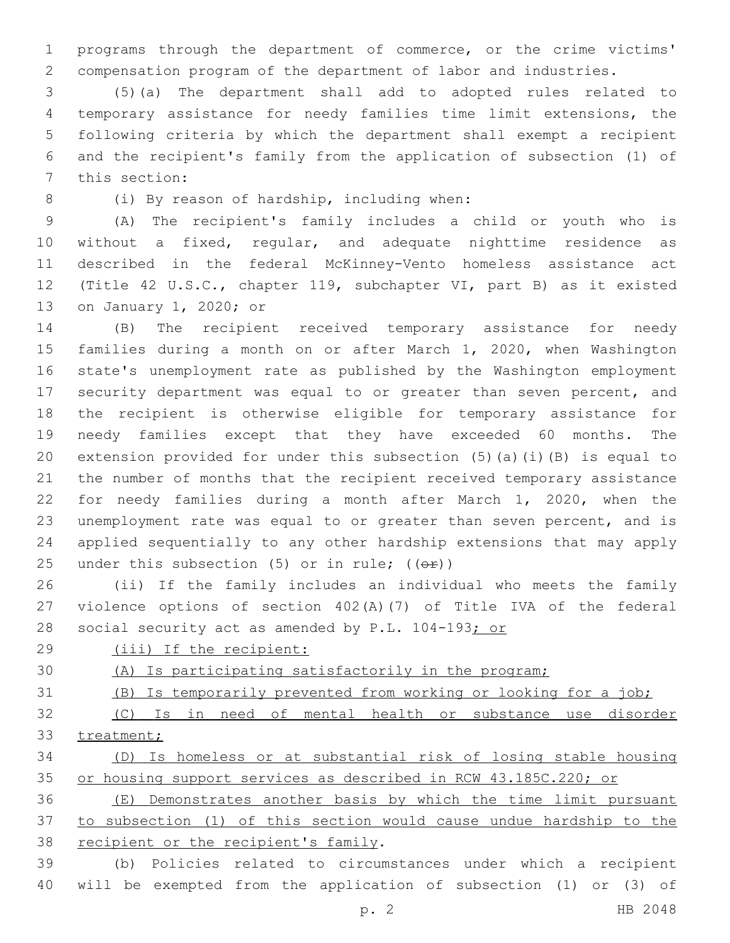programs through the department of commerce, or the crime victims' compensation program of the department of labor and industries.

 (5)(a) The department shall add to adopted rules related to temporary assistance for needy families time limit extensions, the following criteria by which the department shall exempt a recipient and the recipient's family from the application of subsection (1) of 7 this section:

8 (i) By reason of hardship, including when:

 (A) The recipient's family includes a child or youth who is without a fixed, regular, and adequate nighttime residence as described in the federal McKinney-Vento homeless assistance act (Title 42 U.S.C., chapter 119, subchapter VI, part B) as it existed 13 on January 1, 2020; or

 (B) The recipient received temporary assistance for needy families during a month on or after March 1, 2020, when Washington state's unemployment rate as published by the Washington employment security department was equal to or greater than seven percent, and the recipient is otherwise eligible for temporary assistance for needy families except that they have exceeded 60 months. The extension provided for under this subsection (5)(a)(i)(B) is equal to the number of months that the recipient received temporary assistance for needy families during a month after March 1, 2020, when the unemployment rate was equal to or greater than seven percent, and is applied sequentially to any other hardship extensions that may apply 25 under this subsection  $(5)$  or in rule;  $(6\text{F})$ )

 (ii) If the family includes an individual who meets the family violence options of section 402(A)(7) of Title IVA of the federal 28 social security act as amended by P.L. 104-193; or

- (iii) If the recipient:
- 

(A) Is participating satisfactorily in the program;

- (B) Is temporarily prevented from working or looking for a job;
- (C) Is in need of mental health or substance use disorder treatment;

 (D) Is homeless or at substantial risk of losing stable housing or housing support services as described in RCW 43.185C.220; or

 (E) Demonstrates another basis by which the time limit pursuant to subsection (1) of this section would cause undue hardship to the 38 recipient or the recipient's family.

 (b) Policies related to circumstances under which a recipient will be exempted from the application of subsection (1) or (3) of